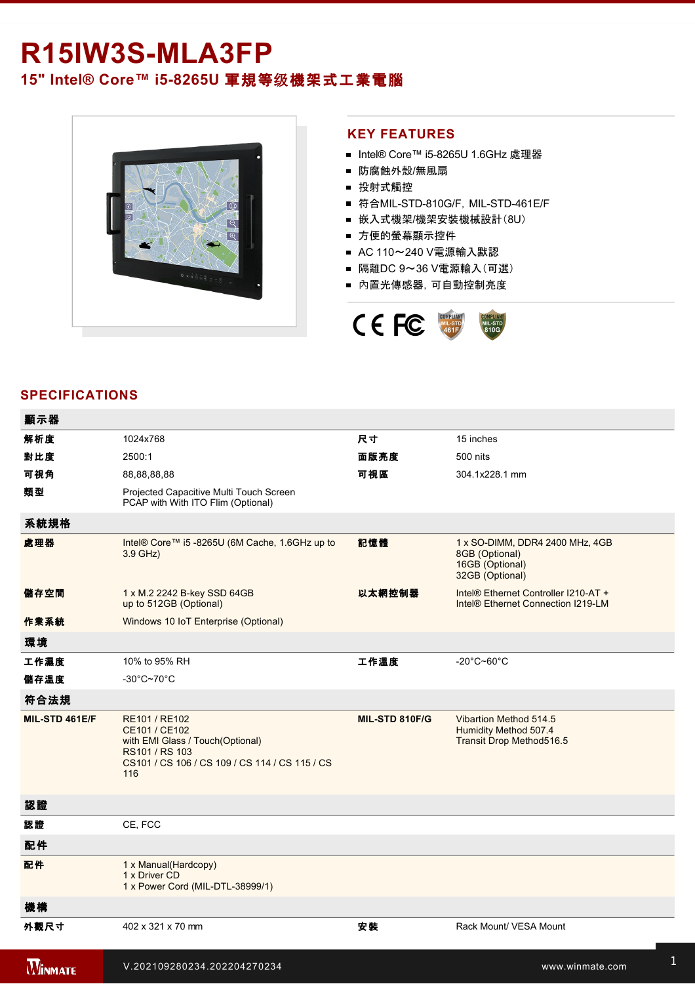## R15IW3S-MLA3FP **15" Intel® Core™ i58265U** 軍規等级機架式工業電腦



## **KEY FEATURES**

- Intel® Core™ i5-8265U 1.6GHz 處理器
- 防腐蝕外殼/無風扇
- 投射式觸控
- 符合MIL-STD-810G/F, MIL-STD-461E/F
- 嵌入式機架/機架安裝機械設計(8U)
- 方便的螢幕顯示控件
- AC 110~240 V電源輸入默認
- 隔離DC 9~36 V電源輸入(可選)
- 內置光傳感器,可自動控制亮度



## **SPECIFICATIONS**

| 顯示器            |                                                                                                                                               |                |                                                                                         |
|----------------|-----------------------------------------------------------------------------------------------------------------------------------------------|----------------|-----------------------------------------------------------------------------------------|
| 解析度            | 1024x768                                                                                                                                      | 尺寸             | 15 inches                                                                               |
| 對比度            | 2500:1                                                                                                                                        | 面版亮度           | 500 nits                                                                                |
| 可視角            | 88,88,88,88                                                                                                                                   | 可視區            | 304.1x228.1 mm                                                                          |
| 類型             | Projected Capacitive Multi Touch Screen<br>PCAP with With ITO Flim (Optional)                                                                 |                |                                                                                         |
| 系統規格           |                                                                                                                                               |                |                                                                                         |
| 處理器            | Intel® Core™ i5 -8265U (6M Cache, 1.6GHz up to<br>3.9 GHz)                                                                                    | 記憶體            | 1 x SO-DIMM, DDR4 2400 MHz, 4GB<br>8GB (Optional)<br>16GB (Optional)<br>32GB (Optional) |
| 儲存空間           | 1 x M.2 2242 B-key SSD 64GB<br>up to 512GB (Optional)                                                                                         | 以太網控制器         | Intel® Ethernet Controller I210-AT +<br>Intel <sup>®</sup> Ethernet Connection I219-LM  |
| 作業系統           | Windows 10 IoT Enterprise (Optional)                                                                                                          |                |                                                                                         |
| 環境             |                                                                                                                                               |                |                                                                                         |
| 工作濕度           | 10% to 95% RH                                                                                                                                 | 工作溫度           | $-20^{\circ}$ C~60 $^{\circ}$ C                                                         |
| 儲存溫度           | $-30^{\circ}$ C~70 $^{\circ}$ C                                                                                                               |                |                                                                                         |
| 符合法規           |                                                                                                                                               |                |                                                                                         |
| MIL-STD 461E/F | RE101 / RE102<br>CE101 / CE102<br>with EMI Glass / Touch(Optional)<br>RS101 / RS 103<br>CS101 / CS 106 / CS 109 / CS 114 / CS 115 / CS<br>116 | MIL-STD 810F/G | Vibartion Method 514.5<br>Humidity Method 507.4<br>Transit Drop Method516.5             |
| 認證             |                                                                                                                                               |                |                                                                                         |
| 認證             | CE, FCC                                                                                                                                       |                |                                                                                         |
| 配件             |                                                                                                                                               |                |                                                                                         |
| 配件             | 1 x Manual(Hardcopy)<br>1 x Driver CD<br>1 x Power Cord (MIL-DTL-38999/1)                                                                     |                |                                                                                         |
| 機構             |                                                                                                                                               |                |                                                                                         |
| 外觀尺寸           | 402 x 321 x 70 mm                                                                                                                             | 安装             | Rack Mount/ VESA Mount                                                                  |
| <b>WINMATE</b> | V.202109280234.202204270234                                                                                                                   |                | www.winmate.com                                                                         |

USB<del>)2 x 2 x 2 complete 2 x 2 complete 2 x 2 complete 2 complete 2 complete 2 complete 2 complete 2 complete 2 co</del>